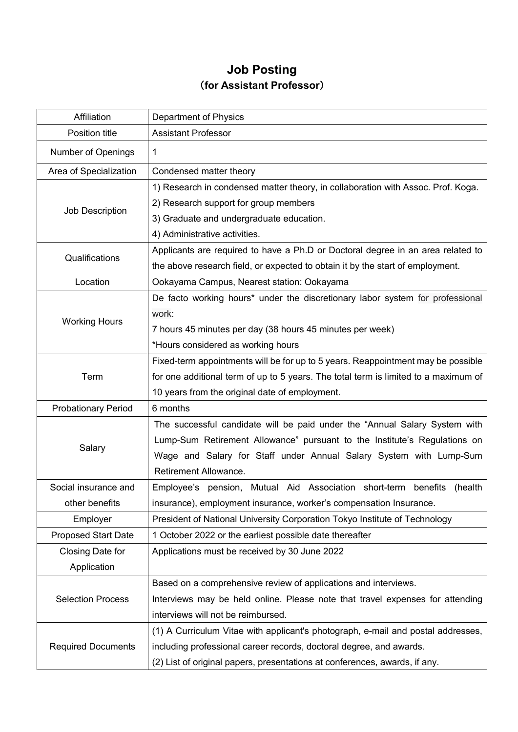## **Job Posting** (**for Assistant Professor**)

| Affiliation                | Department of Physics                                                               |
|----------------------------|-------------------------------------------------------------------------------------|
| Position title             | <b>Assistant Professor</b>                                                          |
| Number of Openings         | 1                                                                                   |
| Area of Specialization     | Condensed matter theory                                                             |
| Job Description            | 1) Research in condensed matter theory, in collaboration with Assoc. Prof. Koga.    |
|                            | 2) Research support for group members                                               |
|                            | 3) Graduate and undergraduate education.                                            |
|                            | 4) Administrative activities.                                                       |
| Qualifications             | Applicants are required to have a Ph.D or Doctoral degree in an area related to     |
|                            | the above research field, or expected to obtain it by the start of employment.      |
| Location                   | Ookayama Campus, Nearest station: Ookayama                                          |
| <b>Working Hours</b>       | De facto working hours* under the discretionary labor system for professional       |
|                            | work:                                                                               |
|                            | 7 hours 45 minutes per day (38 hours 45 minutes per week)                           |
|                            | *Hours considered as working hours                                                  |
|                            | Fixed-term appointments will be for up to 5 years. Reappointment may be possible    |
| Term                       | for one additional term of up to 5 years. The total term is limited to a maximum of |
|                            | 10 years from the original date of employment.                                      |
| <b>Probationary Period</b> | 6 months                                                                            |
| Salary                     | The successful candidate will be paid under the "Annual Salary System with          |
|                            | Lump-Sum Retirement Allowance" pursuant to the Institute's Regulations on           |
|                            | Wage and Salary for Staff under Annual Salary System with Lump-Sum                  |
|                            | Retirement Allowance.                                                               |
| Social insurance and       | Employee's pension, Mutual Aid Association short-term benefits<br>(health           |
| other benefits             | insurance), employment insurance, worker's compensation Insurance.                  |
| Employer                   | President of National University Corporation Tokyo Institute of Technology          |
| <b>Proposed Start Date</b> | 1 October 2022 or the earliest possible date thereafter                             |
| Closing Date for           | Applications must be received by 30 June 2022                                       |
| Application                |                                                                                     |
| <b>Selection Process</b>   | Based on a comprehensive review of applications and interviews.                     |
|                            | Interviews may be held online. Please note that travel expenses for attending       |
|                            | interviews will not be reimbursed.                                                  |
| <b>Required Documents</b>  | (1) A Curriculum Vitae with applicant's photograph, e-mail and postal addresses,    |
|                            | including professional career records, doctoral degree, and awards.                 |
|                            | (2) List of original papers, presentations at conferences, awards, if any.          |